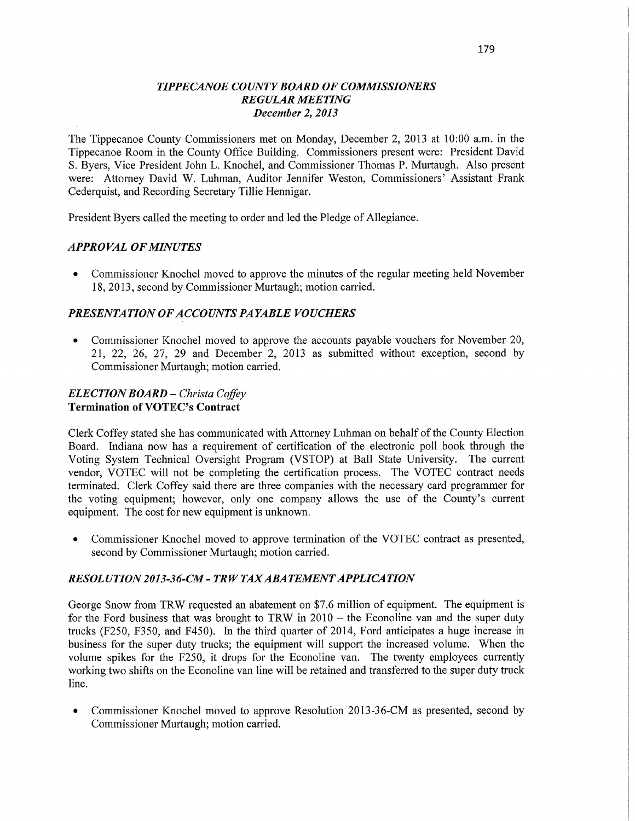## *TIPPECANOE COUNTY BOARD* OF *COMMISSIONERS REGULAR MEETING December* 2, *2013*

The Tippecanoe County Commissioners met on Monday, December 2, 2013 at **10:00** am. in the Tippecanoe Room in the County Office Building. Commissioners present were: President David S. Byers, Vice President John L. Knochel, and Commissioner Thomas P. Murtaugh. Also presen<sup>t</sup> were: Attorney David W. Luhman, Auditor Jennifer Weston, Commissioners' Assistant **Frank**  Cederquist, and Recording Secretary Tillie Hennigar.

President Byers called the meeting to order and led the Pledge of Allegiance.

### *APPRO* VAL OF *MINUTES*

**0** Commissioner Knochel moved to approve the minutes of the regular meeting held November 18, 2013, second by Commissioner Murtaugh; motion carried.

### **PRESENTATION OF ACCOUNTS PAYABLE VOUCHERS**

**0** Commissioner Knochel moved to approve the accounts payable vouchers for November 20, 21, 22, 26, 27, 29 and December 2, 2013 as submitted without exception, second by Commissioner Murtaugh; motion carried.

#### *ELECTION BOARD — Christa Coffey*  **Termination** of **VOTEC's Contract**

Clerk Coffey stated she has communicated with Attorney Luhman on behalf of the County Election Board. Indiana now has a requirement of certification of the electronic poll book through the Voting System Technical Oversight Program (VSTOP) at Ball State University. The current vendor, VOTEC will not be completing the certification process. The VOTEC contract needs terminated. Clerk Coffey said there are three companies with the necessary card programmer for the voting equipment; however, only one company allows the use of the County's current equipment. The cost for new equipment is unknown.

**0** Commissioner Knochel moved to approve termination of the VOTEC contract as presented, second by Commissioner Murtaugh; motion carried.

### *RESOL* UT ION 201 3-3 *6-CM - T* RW TAX *ABATEMENT APPLICA TION*

George Snow from TRW requested an abatement on \$7.6 million of equipment. The equipment is for the Ford business that was brought to TRW in 2010 *—* the Econoline van and the super duty trucks (F250, F350, and F450). In the third quarter of 2014, Ford anticipates a huge increase in business for the super duty trucks; the equipment will support the increased volume. When the volume spikes for the F250, it drops for the Econoline van. The twenty employees currently working two shifts on the Econoline van line will be retained and transferred to the super duty truck line.

• Commissioner Knochel moved to approve Resolution 2013-36-CM as presented, second by Commissioner Murtaugh; motion carried.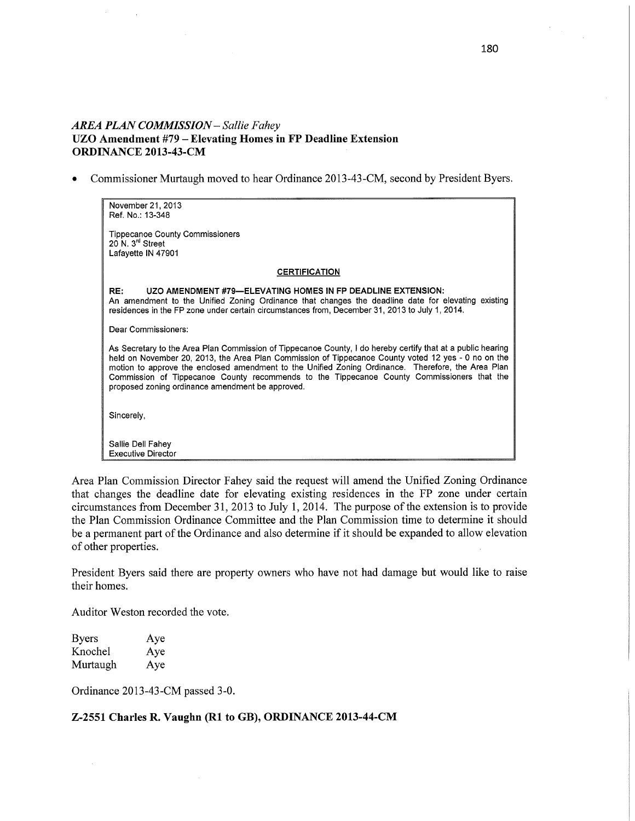## *AREA PLAN COMMISSION — Sallie F ahey*  **UZO Amendment #79 — Elevating Homes in FP Deadline Extension ORDINANCE 2013-43-CM** '

**0** Commissioner Murtaugh moved **to** hear **Ordinance** 2013-43-CM, second **by** President Byers.

| November 21, 2013                                                                                                                                                                                                                                                                                                                                                                                                                                                          |  |
|----------------------------------------------------------------------------------------------------------------------------------------------------------------------------------------------------------------------------------------------------------------------------------------------------------------------------------------------------------------------------------------------------------------------------------------------------------------------------|--|
| Ref. No.: 13-348                                                                                                                                                                                                                                                                                                                                                                                                                                                           |  |
| <b>Tippecanoe County Commissioners</b><br>20 N. 3 <sup>rd</sup> Street<br>Lafayette IN 47901                                                                                                                                                                                                                                                                                                                                                                               |  |
| <b>CERTIFICATION</b>                                                                                                                                                                                                                                                                                                                                                                                                                                                       |  |
| RE:<br>UZO AMENDMENT #79—ELEVATING HOMES IN FP DEADLINE EXTENSION:<br>An amendment to the Unified Zoning Ordinance that changes the deadline date for elevating existing<br>residences in the FP zone under certain circumstances from, December 31, 2013 to July 1, 2014.                                                                                                                                                                                                 |  |
| Dear Commissioners:                                                                                                                                                                                                                                                                                                                                                                                                                                                        |  |
| As Secretary to the Area Plan Commission of Tippecanoe County, I do hereby certify that at a public hearing<br>held on November 20, 2013, the Area Plan Commission of Tippecanoe County voted 12 yes - 0 no on the<br>motion to approve the enclosed amendment to the Unified Zoning Ordinance. Therefore, the Area Plan<br>Commission of Tippecanoe County recommends to the Tippecanoe County Commissioners that the<br>proposed zoning ordinance amendment be approved. |  |
| Sincerely,                                                                                                                                                                                                                                                                                                                                                                                                                                                                 |  |
| Sallie Dell Fahey<br><b>Executive Director</b>                                                                                                                                                                                                                                                                                                                                                                                                                             |  |

Area Plan Commission Director Fahey said **the** request will amend **the** Unified Zoning Ordinance that changes **the** deadline date **for** elevating existing residences **in the FP** zone under certain circumstafices from December **31,** 2013 **to** July **1,** 2014. **The** purpose **of the** extension **is to provide the Plan** Commission Ordinance Committee **and the** Plan Commission time **to** determine **it** should **be** a permanent part **of the** Ordinance **and** also determine **if it** should **be** expanded **to** allow elevation **of** other properties.

President Byers said there **are** property owners **who** have **not had** damage **but** would like **to** raise **their homes.** 

Auditor Weston **recorded the vote.** 

| <b>Byers</b> | Aye |
|--------------|-----|
| Knochel      | Aye |
| Murtaugh     | Aye |

Ordinance 2013-43-CM passed 3-0.

### **Z-2551 Charles R. Vaughn (R1 to GB), ORDINANCE 2013-44-CM**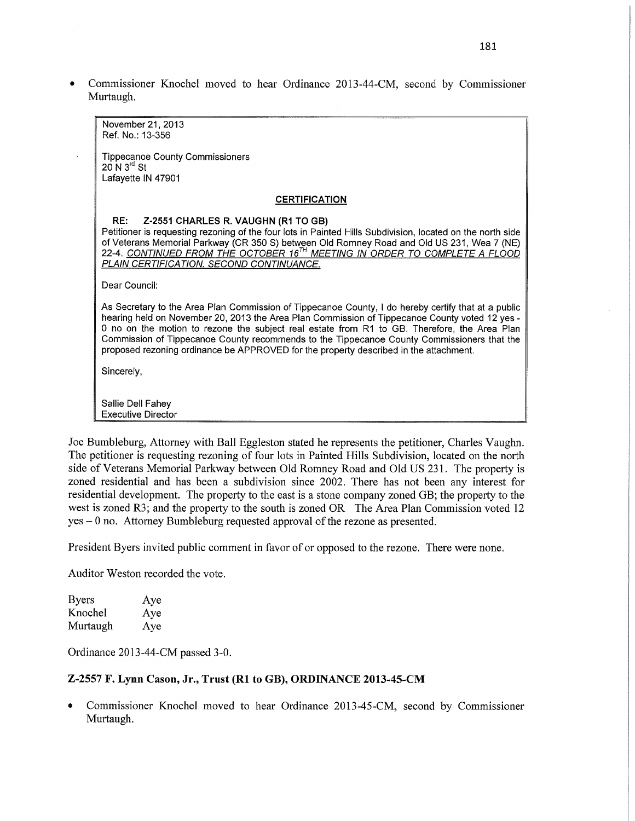**0** Commissioner Knochel moved to hear Ordinance 2013-44-CM, second by Commissioner Murtaugh.

| November 21, 2013                                                                                                                                                                                                                                                                                                                                                                                                                                                                            |
|----------------------------------------------------------------------------------------------------------------------------------------------------------------------------------------------------------------------------------------------------------------------------------------------------------------------------------------------------------------------------------------------------------------------------------------------------------------------------------------------|
| Ref. No.: 13-356                                                                                                                                                                                                                                                                                                                                                                                                                                                                             |
|                                                                                                                                                                                                                                                                                                                                                                                                                                                                                              |
| <b>Tippecanoe County Commissioners</b><br>$20$ N $3rd$ St                                                                                                                                                                                                                                                                                                                                                                                                                                    |
| Lafayette IN 47901                                                                                                                                                                                                                                                                                                                                                                                                                                                                           |
|                                                                                                                                                                                                                                                                                                                                                                                                                                                                                              |
| <b>CERTIFICATION</b>                                                                                                                                                                                                                                                                                                                                                                                                                                                                         |
| RE:<br>Z-2551 CHARLES R. VAUGHN (R1 TO GB)                                                                                                                                                                                                                                                                                                                                                                                                                                                   |
| Petitioner is requesting rezoning of the four lots in Painted Hills Subdivision, located on the north side                                                                                                                                                                                                                                                                                                                                                                                   |
| of Veterans Memorial Parkway (CR 350 S) between Old Romney Road and Old US 231, Wea 7 (NE)                                                                                                                                                                                                                                                                                                                                                                                                   |
| 22-4. CONTINUED FROM THE OCTOBER 16 <sup>TH</sup> MEETING IN ORDER TO COMPLETE A FLOOD<br>PLAIN CERTIFICATION. SECOND CONTINUANCE.                                                                                                                                                                                                                                                                                                                                                           |
|                                                                                                                                                                                                                                                                                                                                                                                                                                                                                              |
| Dear Council:                                                                                                                                                                                                                                                                                                                                                                                                                                                                                |
| As Secretary to the Area Plan Commission of Tippecanoe County, I do hereby certify that at a public<br>hearing held on November 20, 2013 the Area Plan Commission of Tippecanoe County voted 12 yes -<br>0 no on the motion to rezone the subject real estate from R1 to GB. Therefore, the Area Plan<br>Commission of Tippecanoe County recommends to the Tippecanoe County Commissioners that the<br>proposed rezoning ordinance be APPROVED for the property described in the attachment. |
| Sincerely,                                                                                                                                                                                                                                                                                                                                                                                                                                                                                   |
| Sallie Dell Fahey                                                                                                                                                                                                                                                                                                                                                                                                                                                                            |
| <b>Executive Director</b>                                                                                                                                                                                                                                                                                                                                                                                                                                                                    |

Joe Bumbleburg, Attorney with Ball Eggleston stated he represents the petitioner, Charles Vaughn. The petitioner is requesting rezoning of four lots in Painted Hills Subdivision, located on the **north**  side of **Veterans** Memorial Parkway between Old Romney Road and Old US 231. The property is zoned residential and has been a subdivision since 2002. There has not been any interest for residential development. The property to the east is **a** stone company zoned GB; the property to the west is zoned R3; and the property to the south is zoned OR The **Area Plan** Commission voted 12 yes *—* **0** no. Attorney Bumbleburg requested approval of the rezone as presented.

President Byers **invited** public comment in **favor** of or opposed to the rezone. There were none.

**Auditor** Weston recorded the vote.

| <b>Byers</b> | Aye |
|--------------|-----|
| Knochel      | Aye |
| Murtaugh     | Aye |

Ordinance 2013-44-CM passed 3-0.

### **Z-2557** F. **Lynn Cason, Jr., Trust** (R1 to **GB), ORDINANCE 2013-45-CM**

**0** Commissioner Knochel moved to hear Ordinance 2013-45-CM, second by Commissioner Murtaugh.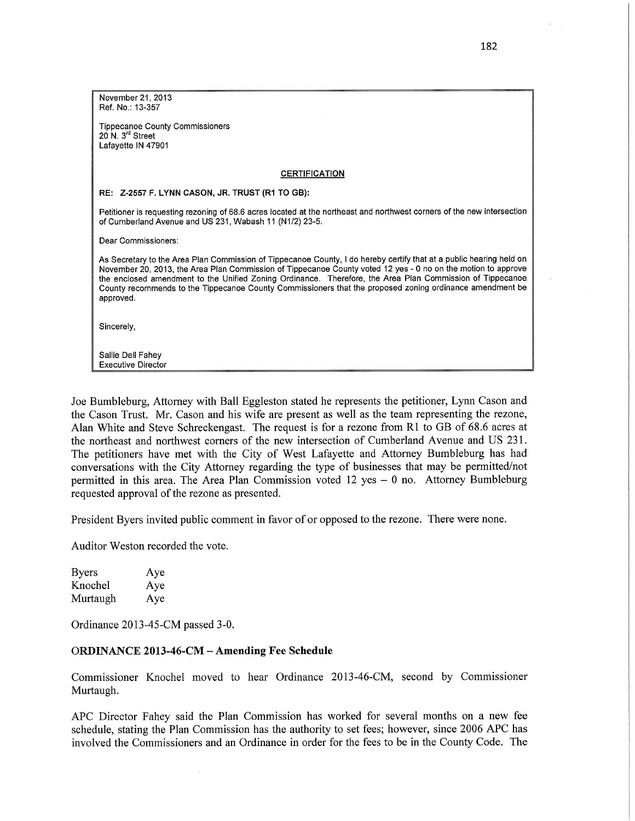| November 21, 2013                                                                                                                                                                                                                                                                                                                                                                                                                                                          |
|----------------------------------------------------------------------------------------------------------------------------------------------------------------------------------------------------------------------------------------------------------------------------------------------------------------------------------------------------------------------------------------------------------------------------------------------------------------------------|
| Ref. No.: 13-357                                                                                                                                                                                                                                                                                                                                                                                                                                                           |
| <b>Tippecanoe County Commissioners</b>                                                                                                                                                                                                                                                                                                                                                                                                                                     |
| 20 N. $3rd$ Street<br>Lafayette IN 47901                                                                                                                                                                                                                                                                                                                                                                                                                                   |
|                                                                                                                                                                                                                                                                                                                                                                                                                                                                            |
| <b>CERTIFICATION</b>                                                                                                                                                                                                                                                                                                                                                                                                                                                       |
| RE: Z-2557 F. LYNN CASON, JR. TRUST (R1 TO GB):                                                                                                                                                                                                                                                                                                                                                                                                                            |
| Petitioner is requesting rezoning of 68.6 acres located at the northeast and northwest corners of the new intersection<br>of Cumberland Avenue and US 231, Wabash 11 (N1/2) 23-5.                                                                                                                                                                                                                                                                                          |
| Dear Commissioners:                                                                                                                                                                                                                                                                                                                                                                                                                                                        |
| As Secretary to the Area Plan Commission of Tippecanoe County, I do hereby certify that at a public hearing held on<br>November 20, 2013, the Area Plan Commission of Tippecanoe County voted 12 yes - 0 no on the motion to approve<br>the enclosed amendment to the Unified Zoning Ordinance. Therefore, the Area Plan Commission of Tippecanoe<br>County recommends to the Tippecanoe County Commissioners that the proposed zoning ordinance amendment be<br>approved. |
| Sincerely,                                                                                                                                                                                                                                                                                                                                                                                                                                                                 |
| Sallie Dell Fahev                                                                                                                                                                                                                                                                                                                                                                                                                                                          |
| <b>Executive Director</b>                                                                                                                                                                                                                                                                                                                                                                                                                                                  |

Joe Bumbleburg, Attorney with Ball Eggleston stated he represents the petitioner, Lynn Cason and the Cason Trust. Mr. Cason and his wife are present as well as the team representing the rezone, Alan White and Steve Schreckengast. The request is for a rezone from R1 to GB of 68.6 acres at the northeast and northwest corners of the new intersection of Cumberland Avenue and US 231. The petitioners have met with the City of West Lafayette and Attorney Bumbleburg has had conversations with the City Attorney regarding the type of businesses that may be **permitted/not**  permitted in this area. The Area Plan Commission voted 12 yes — **0** no. Attorney Bumbleburg requested approval of the **rezone** as presented.

President Byers invited public comment in favor of or opposed to the rezone. There were none.

Auditor Weston recorded the **vote.** 

| <b>Byers</b> | Aye |
|--------------|-----|
| Knochel      | Aye |
| Murtaugh     | Aye |

Ordinance 2013-45-CM passed 3-0.

### **ORDINANCE 2013-46-CM** *—* **Amending** Fee **Schedule**

 $\bar{z}$ 

Commissioner Knochel moved to hear Ordinance 2013-46-CM, second by Commissioner **Murtaugh.** 

APC Director Fahey said the **Plan** Commission has worked for several months on a new fee schedule, stating the Plan Commission has the authority to set fees; however, since 2006 AFC has involved the Commissioners and an Ordinance in order for the fees to be in the County Code. The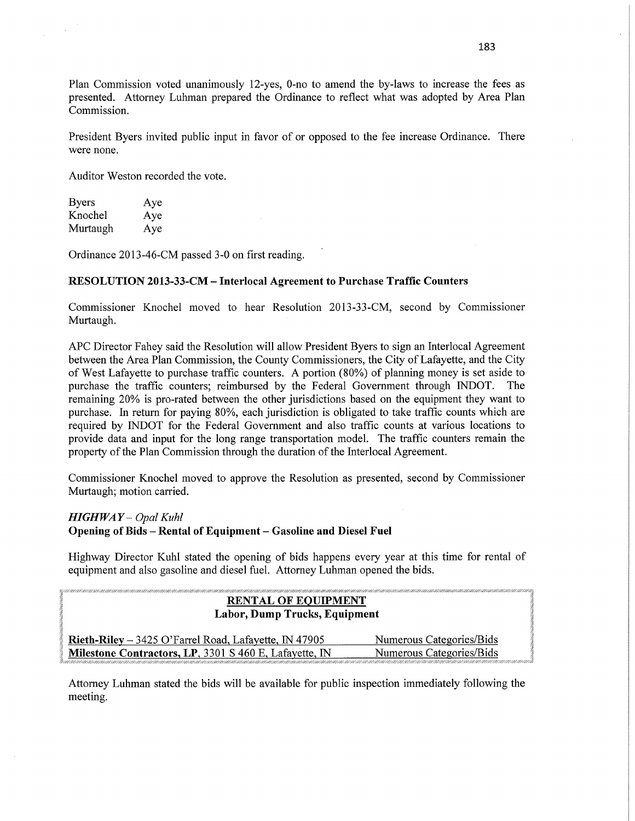Plan Commission voted unanimously 12-yes, 0-no to amend the by-laws to increase the fees as presented. Attorney Luhman prepared the Ordinance to reflect What was adopted by Area Plan Commission.

President Byers invited public input in favor of or opposed to the fee increase Ordinance. There were none.

Auditor Weston recorded the vote.

| <b>Byers</b> | Aye |
|--------------|-----|
| Knochel      | Aye |
| Murtaugh     | Aye |

Ordinance 2013—46-CM passed 3-0 on first reading.

### RESOLUTION **2013-33-CM** — **Interlocal Agreement** to **Purchase Traffic Counters**

Commissioner Knochel moved to hear Resolution 2013-33-CM, second by Commissioner Murtaugh.

APC Director Fahey said the Resolution will allow President Byers to sign an Interlocal Agreement between the Area Plan Commission, the County Commissioners, the City of Lafayette, and the City of West Lafayette to purchase traffic counters. **A** portion (80%) of planning money is set aside to purchase the traffic counters; reimbursed by the Federal Government through INDOT. The remaining 20% is pro-rated between the other jurisdictions based on the equipment they want to purchase. In return for paying 80%, each jurisdiction is obligated to take traffic counts which are required by INDOT for the Federal Government and also traffic counts at various locations to provide data and input for the long range transportation model. The traffic counters remain the property of the Plan Commission through the duration of the Interlocal Agreement.

Commissioner Knochel moved to approve the Resolution as presented, second by Commissioner Murtaugh; motion carried.

*HIGHWAY – Opal Kuhl* **Opening** of **Bids** — **Rental** of **Equipment** —- **Gasoline** and **Diesel Fuel** 

Highway Director Kuhl stated the opening of bids happens every year at this time for rental of equipment and also gasoline and diesel fuel. Attorney Luhman opened the bids.

| an dahalaman manaman manaman satu satu dan manaman satu dan manaman dan manaman manaman manaman manaman sa man<br><b>RENTAL OF EQUIPMENT</b><br>Labor, Dump Trucks, Equipment |                                                                                                                                                   |
|-------------------------------------------------------------------------------------------------------------------------------------------------------------------------------|---------------------------------------------------------------------------------------------------------------------------------------------------|
| Rieth-Riley – 3425 O'Farrel Road, Lafayette, IN 47905                                                                                                                         | Numerous Categories/Bids                                                                                                                          |
| Milestone Contractors, LP, 3301 S 460 E, Lafayette, IN                                                                                                                        | Numerous Categories/Bids<br>rema e sua emiscuito con emiscuito con emisco a concerna na emiscuito ancora a costruito alternite ancora del miscolo |

Attorney Luhman stated the bids will be available for public inspection immediately following the meeting.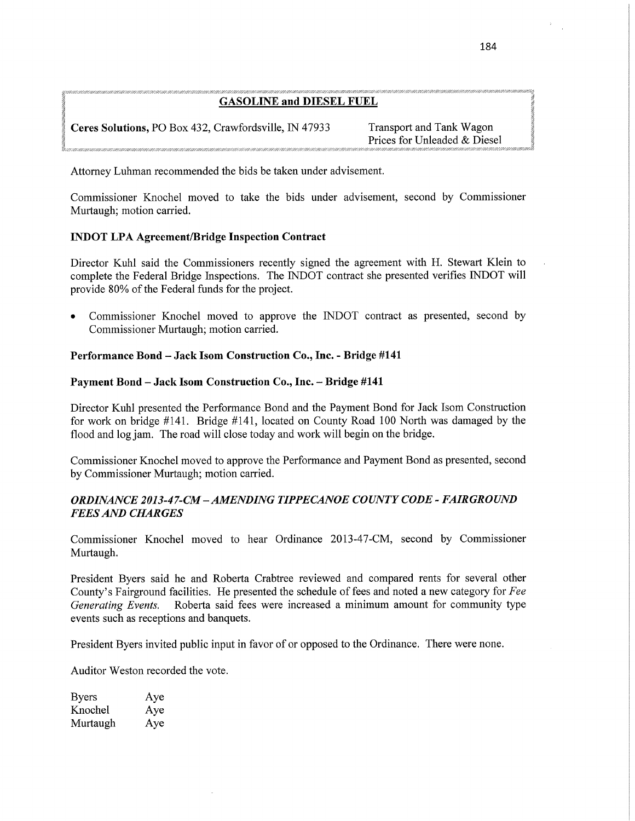### **GASOLINE** and **DIESEL** FUEL

**Ceres Solutions,** PO Box 432, Crawfordsville, IN 47933 Transport and Tank Wagon

Prices for Unleaded & Diesel

Attorney Luhman recommended the bids be taken under advisement.

Commissioner Knochel moved to take the bids under **advisement,** second by Commissioner Murtaugh; motion **carried.** 

# **INDOT** LPA **Agreement/Bridge Inspection Contract**

Director Kuhl said the Commissioners recently signed the agreement with H. **Stewart** Klein to complete the Federal Bridge Inspections. The INDOT contract she presented verifies INDOT **will**  provide 80% of the Federal **funds** for the project.

**0** Commissioner Knochel moved to approve the INDOT **contract** as presented, second by Commissioner Murtaugh; motion carried.

# **Performance Bond** — **Jack Isom Construction Co., Inc.** *-* **Bridge #141**

## **Payment Bond — Jack Isom Construction Co., Inc. - Bridge #141**

Director Kuhl presented the Performance Bond and the Payment Bond for Jack Isom **Construction**  for work on bridge #141. Bridge #141, located on County Road 100 North was damaged by the flood and log jam. The road will close today and work will begin on the bridge.

Commissioner Knochel moved to approve the Performance and Payment Bond as presented, second by Commissioner Murtaugh; motion carried.

# *ORDINANCE 2013-47-CM —AMENDING TIPPECANOE COUNTY CODE - FAIRGROUND FEES* AND *CHARGES*

Commissioner Knochel moved to hear Ordinance 2013-47-CM, second by Commissioner Murtaugh.

President Byers said he and Roberta Crabtree reviewed and compared rents for several other **County's** Fairground facilities. He presented the schedule of fees and noted a new category for Fee Roberta said fees were increased a minimum amount for community type events **such** as receptions and banquets.

President Byers invited public input in favor of or opposed to the Ordinance. There were **none.** 

Auditor Weston **recorded** the **vote.** 

| <b>Byers</b> | Aye |
|--------------|-----|
| Knochel      | Aye |
| Murtaugh     | Aye |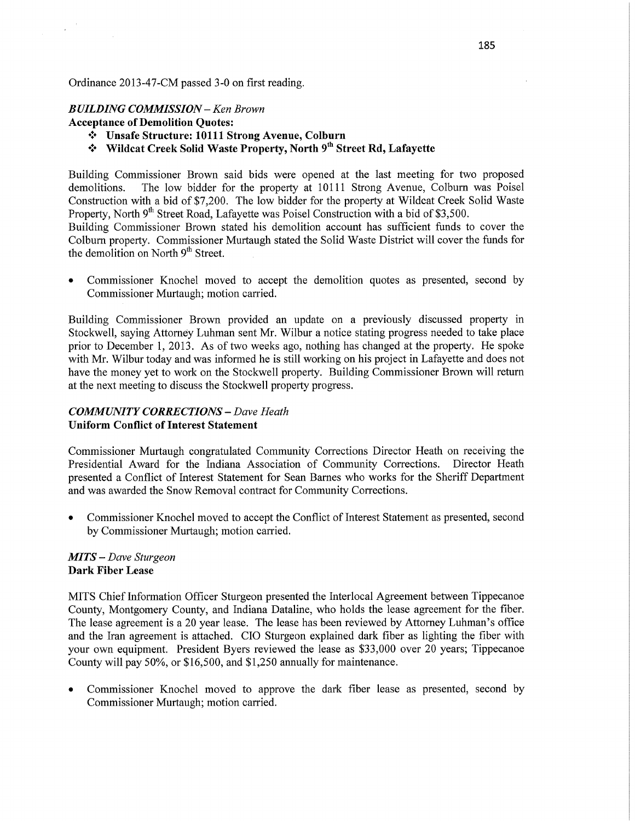### Ordinance 2013-47—CM passed 3—0 on first reading.

### *BUILDING COMMISSION* **—** Ken *Brown*

**Acceptance** of Demolition **Quotes:** 

- '3' **Unsafe Structure: 10111 Strong Avenue, Colburn**
- '3' Wildcat **Creek** Solid **Waste Property, North** 9'h **Street** Rd, **Lafayette**

Building Commissioner Brown said bids were opened at the last meeting for two proposed demolitions. The low bidder for the property at 10111 Strong Avenue, Colburn was Poisel Construction with a bid of \$7,200. The low bidder for the property at Wildcat Creek Solid Waste Property, North 9<sup>th</sup> Street Road, Lafayette was Poisel Construction with a bid of \$3,500.

Building Commissioner Brown stated his demolition account has sufficient funds to cover the Colburn property. Commissioner Murtaugh stated the Solid Waste District will cover the funds for the demolition on North  $9<sup>th</sup>$  Street.

**0** Commissioner Knochel moved to accept the demolition quotes as presented, second by Commissioner Murtaugh; motion carried.

Building Commissioner Brown provided an update on a previously discussed property in Stockwell, saying Attorney Luhman sent Mr. Wilbur a notice stating progress needed to take place prior to December 1, 2013. As of two weeks ago, nothing has changed at the property. He spoke with Mr. Wilbur today and was informed he is still working on his project in Lafayette and does not have the money yet to work on the Stockwell property. Building Commissioner Brown will return at the next meeting to discuss the Stockwell property progress.

## *COMMUNITY CORRECTIONS* — *Dave Heath*  **Uniform Conflict** of **Interest Statement**

Commissioner Murtaugh congratulated Community Corrections Director Heath on receiving the Presidential Award for the Indiana Association of Community Corrections. Director Heath presented **a** Conflict of Interest Statement for Sean Barnes who works for the Sheriff Department and was awarded the Snow Removal contract for Community Corrections.

**0** Commissioner Knochel moved to accept the Conflict of Interest Statement as presented, second by Commissioner Murtaugh; motion carried.

### MI *T S* — *Dave Sturgeon*  **Dark Fiber Lease**

**MITS** Chief Information Officer Sturgeon presented the Interlocal Agreement between Tippecanoe County, Montgomery County, and Indiana Dataline, who holds the lease agreement for the fiber. The lease agreement is a 20 year lease. The lease has been reviewed by Attorney Luhman's office and the Iran agreement is attached. CIO Sturgeon explained dark fiber as lighting the fiber with your own equipment. President Byers reviewed the lease as \$33,000 over 20 years; Tippecanoe County will pay 50%, or \$16,500, and \$1,250 annually for maintenance.

**0** Commissioner Knochel moved to approve the dark fiber lease as presented, second by Commissioner Murtaugh; motion carried.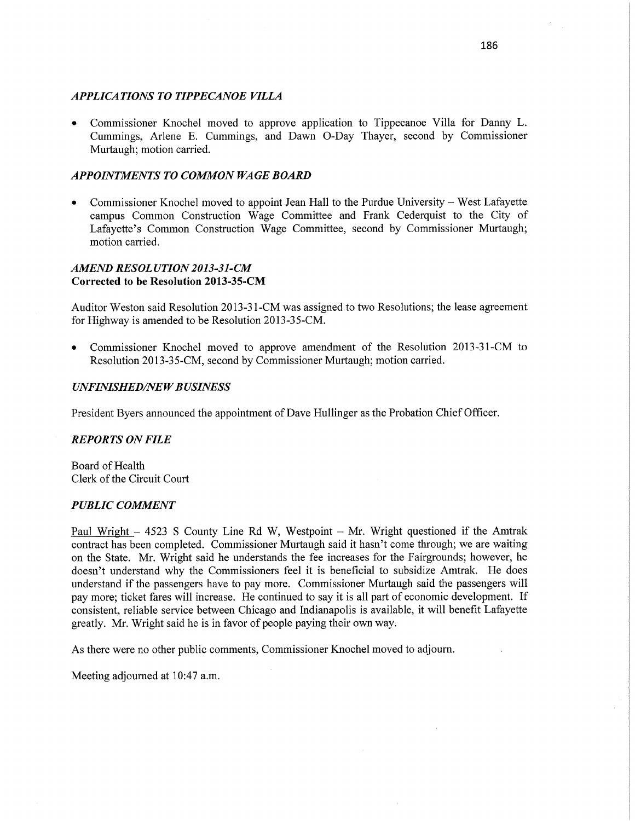### *APPLICATIONS TO TIPPECANOE VILLA*

**0** Commissioner Knochel moved to approve application to Tippecanoe Villa for Danny L. Cummings, Arlene E. Cummings, and Dawn 0—Day Thayer, second by Commissioner Murtaugh; motion carried.

#### *APPOINTMENTS* T0 *COMMON* WA GE *BOARD*

**0** Commissioner Knochel moved to appoint Jean Hall to the Purdue University — West Lafayette campus Common Construction Wage Committee and Frank Cederquist to the City of Lafayette's Common Construction Wage Committee, second by Commissioner Murtaugh; motion **carried.** 

### *AMEND RESOL UTION 2013-31-CM*  **Corrected** to be Resolution **2013—35-CM**

Auditor Weston said Resolution 2013-31-CM was assigned to two Resolutions; the lease agreemen<sup>t</sup> for Highway is amended to be Resolution 2013-35-CM.

**0** Commissioner Knochel moved to approve amendment of the Resolution 2013-31-CM to Resolution 2013—35—CM, second by Commissioner Murtaugh; motion carried.

#### *UNFINISHED/NEWBUSINESS*

President Byers announced the appointment of Dave Hullinger as the Probation Chief Officer.

### *REPORTS* ON *FILE*

Board of Health Clerk of the Circuit Court

#### *PUBLIC COMMENT*

Paul Wright **—** 4523 *S* County Line Rd W, Westpoint *—* Mr. Wright questioned if the Amtrak contract has been completed. Commissioner Murtaugh said it hasn't come through; we are waiting on the State. Mr. Wright said he understands the fee increases for the Fairgrounds; however, he doesn't understand why the Commissioners feel it is beneficial to subsidize Amtrak. He does understand if the passengers have to pay more. Commissioner Murtaugh said the passengers will pay more; ticket fares will increase. He continued to say it is all part of economic development. If consistent, reliable service between Chicago and Indianapolis is available, it will benefit Lafayette greatly. Mr. Wright said he is in favor of people paying their own way.

As there were no other public comments, Commissioner Knochel moved to adjourn.

Meeting adjourned at 10:47 **am.**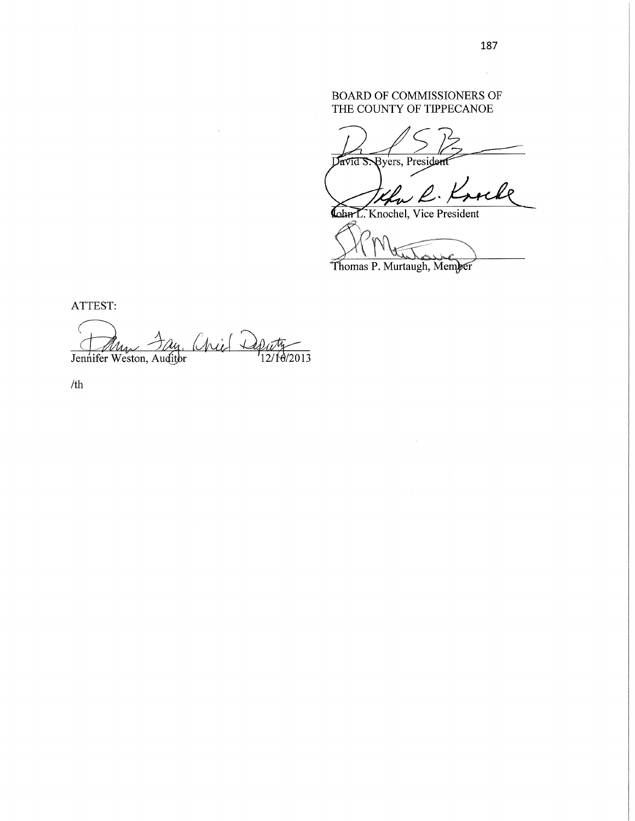# BOARD OF COMMISSIONERS OF THE COUNTY OF TIPPECANOE

**Pyers**, President Javid S.

le

Cohn L. Knochel, Vice President

Thomas P. Murtaugh, Member

ATTEST:

 ${n_{i} \in \mathbb{Q}_{2n_{12}/10/2013}}$ € My Jennifer Weston, Auditor

/th

 $\mathcal{L}_{\rm{eff}}$